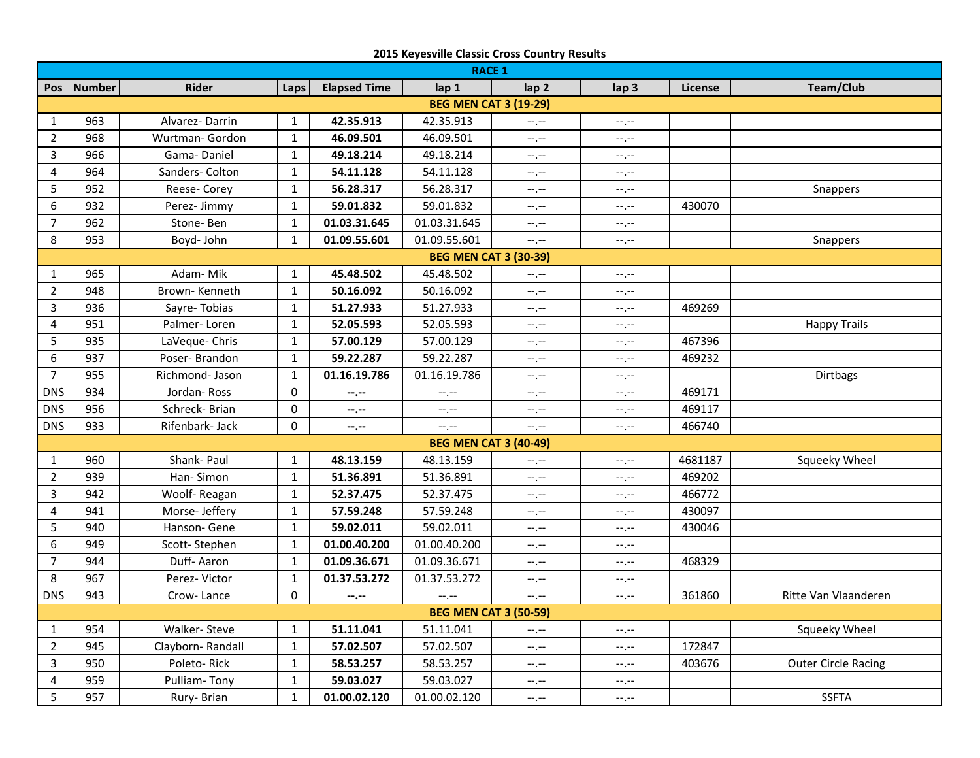| <b>RACE 1</b>                |            |                  |              |                     |                                       |                                           |                  |         |                            |  |
|------------------------------|------------|------------------|--------------|---------------------|---------------------------------------|-------------------------------------------|------------------|---------|----------------------------|--|
|                              |            |                  |              |                     |                                       |                                           |                  |         |                            |  |
|                              | Pos Number | <b>Rider</b>     | Laps         | <b>Elapsed Time</b> | lap 1<br><b>BEG MEN CAT 3 (19-29)</b> | lap <sub>2</sub>                          | lap <sub>3</sub> | License | Team/Club                  |  |
|                              |            | Alvarez-Darrin   |              | 42.35.913           | 42.35.913                             |                                           |                  |         |                            |  |
| $\mathbf{1}$                 | 963        |                  | $\mathbf{1}$ |                     |                                       | $-1, -1$                                  | $-1, -1$         |         |                            |  |
| $\overline{2}$               | 968        | Wurtman- Gordon  | $\mathbf{1}$ | 46.09.501           | 46.09.501                             | $-1, -1$                                  | $-1, -1$         |         |                            |  |
| $\overline{3}$               | 966        | Gama-Daniel      | $\mathbf{1}$ | 49.18.214           | 49.18.214                             | $-1, -1$                                  | --.--            |         |                            |  |
| 4                            | 964        | Sanders- Colton  | $\mathbf{1}$ | 54.11.128           | 54.11.128                             | $-1, -1$                                  | --.--            |         |                            |  |
| 5                            | 952        | Reese- Corey     | $\mathbf{1}$ | 56.28.317           | 56.28.317                             | $-1, -1$                                  | $-1, -1$         |         | Snappers                   |  |
| 6                            | 932        | Perez-Jimmy      | $\mathbf{1}$ | 59.01.832           | 59.01.832                             | $-1, -1$                                  | $-1, -1$         | 430070  |                            |  |
| $\overline{7}$               | 962        | Stone-Ben        | $\mathbf{1}$ | 01.03.31.645        | 01.03.31.645                          | $-1, -1$                                  | $-1, -1$         |         |                            |  |
| 8                            | 953        | Boyd- John       | $\mathbf{1}$ | 01.09.55.601        | 01.09.55.601                          | $-1, -1$                                  | $-1, -1$         |         | Snappers                   |  |
| <b>BEG MEN CAT 3 (30-39)</b> |            |                  |              |                     |                                       |                                           |                  |         |                            |  |
| $\mathbf{1}$                 | 965        | Adam-Mik         | $\mathbf{1}$ | 45.48.502           | 45.48.502                             | $-1, -1$                                  | --.--            |         |                            |  |
| $\overline{2}$               | 948        | Brown-Kenneth    | $\mathbf{1}$ | 50.16.092           | 50.16.092                             | $-1, -1$                                  | $-1, -1$         |         |                            |  |
| 3                            | 936        | Sayre-Tobias     | $\mathbf{1}$ | 51.27.933           | 51.27.933                             | $-1, -1$                                  | --.--            | 469269  |                            |  |
| 4                            | 951        | Palmer-Loren     | $\mathbf{1}$ | 52.05.593           | 52.05.593                             | $-1$ , $-1$                               | $-1, -1$         |         | <b>Happy Trails</b>        |  |
| 5                            | 935        | LaVeque- Chris   | $\mathbf{1}$ | 57.00.129           | 57.00.129                             | $-1$ , $-1$                               | $-1, -1$         | 467396  |                            |  |
| 6                            | 937        | Poser-Brandon    | $\mathbf{1}$ | 59.22.287           | 59.22.287                             | --,--                                     | $-1, -1$         | 469232  |                            |  |
| $\overline{7}$               | 955        | Richmond- Jason  | $\mathbf{1}$ | 01.16.19.786        | 01.16.19.786                          | $-1$ , $-1$                               | $-1, -1$         |         | Dirtbags                   |  |
| <b>DNS</b>                   | 934        | Jordan-Ross      | $\mathbf 0$  | --.--               | --.--                                 | $-1, -1$                                  | $-1, -1$         | 469171  |                            |  |
| <b>DNS</b>                   | 956        | Schreck-Brian    | 0            | --.--               | --.--                                 | $-1, -1$                                  | $-1, -1$         | 469117  |                            |  |
| <b>DNS</b>                   | 933        | Rifenbark- Jack  | 0            | --.--               | $-1$                                  | $-1$ , $-1$                               | $-1 - 1 - 1 = 0$ | 466740  |                            |  |
|                              |            |                  |              |                     | <b>BEG MEN CAT 3 (40-49)</b>          |                                           |                  |         |                            |  |
| $\mathbf{1}$                 | 960        | Shank- Paul      | $\mathbf{1}$ | 48.13.159           | 48.13.159                             | $-1$ , $-1$                               | --.--            | 4681187 | Squeeky Wheel              |  |
| $\overline{2}$               | 939        | Han-Simon        | $\mathbf{1}$ | 51.36.891           | 51.36.891                             | $-1, -1$                                  | --.--            | 469202  |                            |  |
| $\mathbf{3}$                 | 942        | Woolf-Reagan     | $\mathbf{1}$ | 52.37.475           | 52.37.475                             | $-1$                                      | --.--            | 466772  |                            |  |
| $\overline{4}$               | 941        | Morse- Jeffery   | $\mathbf{1}$ | 57.59.248           | 57.59.248                             | $-1$ , $-1$                               | --.--            | 430097  |                            |  |
| 5                            | 940        | Hanson- Gene     | $\mathbf{1}$ | 59.02.011           | 59.02.011                             | $-1$                                      | $-1$             | 430046  |                            |  |
| 6                            | 949        | Scott-Stephen    | $\mathbf{1}$ | 01.00.40.200        | 01.00.40.200                          | $-1, -1$                                  | $-1, -1$         |         |                            |  |
| $\overline{7}$               | 944        | Duff-Aaron       | $\mathbf{1}$ | 01.09.36.671        | 01.09.36.671                          | $-1, -1$                                  | $-1, -1$         | 468329  |                            |  |
| 8                            | 967        | Perez-Victor     | $\mathbf{1}$ | 01.37.53.272        | 01.37.53.272                          | $-1, -1$                                  | $-1, -1$         |         |                            |  |
| <b>DNS</b>                   | 943        | Crow-Lance       | $\mathbf 0$  | --.--               | $-1, -1$                              | $-1, -1$                                  | $-1, -1$         | 361860  | Ritte Van Vlaanderen       |  |
| <b>BEG MEN CAT 3 (50-59)</b> |            |                  |              |                     |                                       |                                           |                  |         |                            |  |
| $\mathbf{1}$                 | 954        | Walker-Steve     | $\mathbf{1}$ | 51.11.041           | 51.11.041                             | $\left\langle \cdots,\cdots\right\rangle$ | --.--            |         | Squeeky Wheel              |  |
| $\overline{2}$               | 945        | Clayborn-Randall | $\mathbf{1}$ | 57.02.507           | 57.02.507                             | $-1, -1$                                  | --.--            | 172847  |                            |  |
| $\mathbf{3}$                 | 950        | Poleto-Rick      | $\mathbf{1}$ | 58.53.257           | 58.53.257                             | $-1, -1$                                  | --.--            | 403676  | <b>Outer Circle Racing</b> |  |
| 4                            | 959        | Pulliam-Tony     | $\mathbf{1}$ | 59.03.027           | 59.03.027                             | $-1, -1$                                  | $-1, -1$         |         |                            |  |
| 5                            | 957        | Rury- Brian      | $\mathbf{1}$ | 01.00.02.120        | 01.00.02.120                          | $-1, -1$                                  | $-1, -1$         |         | <b>SSFTA</b>               |  |

## **2015 Keyesville Classic Cross Country Results**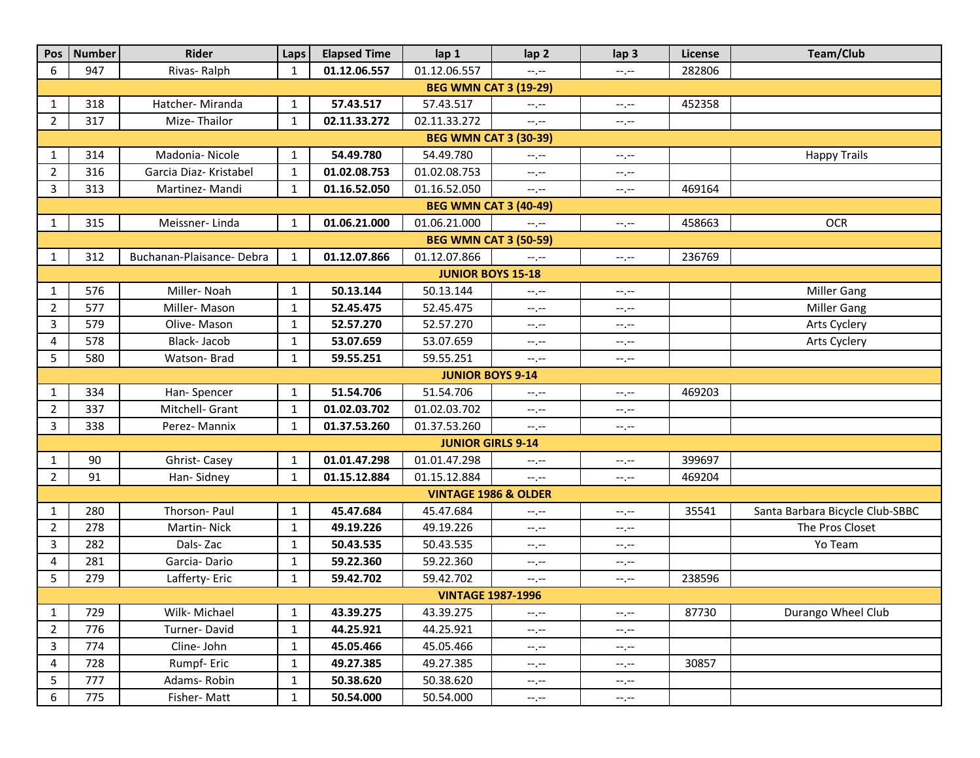| Pos                          | Number                       | Rider                     | Laps         | <b>Elapsed Time</b> | lap 1                           | lap <sub>2</sub> | lap <sub>3</sub>                             | License | Team/Club                       |  |  |  |
|------------------------------|------------------------------|---------------------------|--------------|---------------------|---------------------------------|------------------|----------------------------------------------|---------|---------------------------------|--|--|--|
| 6                            | 947                          | Rivas-Ralph               | $\mathbf{1}$ | 01.12.06.557        | 01.12.06.557                    | $-1$             | $-1, -1$                                     | 282806  |                                 |  |  |  |
| <b>BEG WMN CAT 3 (19-29)</b> |                              |                           |              |                     |                                 |                  |                                              |         |                                 |  |  |  |
| 1                            | 318                          | Hatcher- Miranda          | $\mathbf{1}$ | 57.43.517           | 57.43.517                       | $-1, -1$         | $-1, -1$                                     | 452358  |                                 |  |  |  |
| $\overline{2}$               | 317                          | Mize-Thailor              | $\mathbf{1}$ | 02.11.33.272        | 02.11.33.272                    | $-1$             | $-1, -1$                                     |         |                                 |  |  |  |
|                              | <b>BEG WMN CAT 3 (30-39)</b> |                           |              |                     |                                 |                  |                                              |         |                                 |  |  |  |
| 1                            | 314                          | Madonia-Nicole            | $\mathbf{1}$ | 54.49.780           | 54.49.780                       | $-1, -1$         | $-1, -1$                                     |         | <b>Happy Trails</b>             |  |  |  |
| $\overline{2}$               | 316                          | Garcia Diaz- Kristabel    | $\mathbf{1}$ | 01.02.08.753        | 01.02.08.753                    | $-1, -1$         | $-1, -1$                                     |         |                                 |  |  |  |
| 3                            | 313                          | Martinez-Mandi            | $\mathbf{1}$ | 01.16.52.050        | 01.16.52.050                    | $-1$             | $-1, -1$                                     | 469164  |                                 |  |  |  |
|                              | <b>BEG WMN CAT 3 (40-49)</b> |                           |              |                     |                                 |                  |                                              |         |                                 |  |  |  |
| 1                            | 315                          | Meissner-Linda            | $\mathbf{1}$ | 01.06.21.000        | 01.06.21.000                    | $-1$             | $--, --$                                     | 458663  | <b>OCR</b>                      |  |  |  |
|                              |                              |                           |              |                     | <b>BEG WMN CAT 3 (50-59)</b>    |                  |                                              |         |                                 |  |  |  |
| 1                            | 312                          | Buchanan-Plaisance- Debra | 1            | 01.12.07.866        | 01.12.07.866                    | $-1, -1$         | $-1, -1$                                     | 236769  |                                 |  |  |  |
| <b>JUNIOR BOYS 15-18</b>     |                              |                           |              |                     |                                 |                  |                                              |         |                                 |  |  |  |
| 1                            | 576                          | Miller-Noah               | $\mathbf{1}$ | 50.13.144           | 50.13.144                       | $-1, -1$         | $-1, -1$                                     |         | <b>Miller Gang</b>              |  |  |  |
| $\overline{2}$               | 577                          | Miller-Mason              | $\mathbf{1}$ | 52.45.475           | 52.45.475                       | --.--            | $-1, -1$                                     |         | <b>Miller Gang</b>              |  |  |  |
| 3                            | 579                          | Olive-Mason               | $\mathbf{1}$ | 52.57.270           | 52.57.270                       | $-1, -1$         | $-1, -1$                                     |         | Arts Cyclery                    |  |  |  |
| 4                            | 578                          | Black-Jacob               | $\mathbf{1}$ | 53.07.659           | 53.07.659                       | $-1, -1$         | $\leftarrow$ , $\leftarrow$                  |         | Arts Cyclery                    |  |  |  |
| 5                            | 580                          | Watson-Brad               | $\mathbf{1}$ | 59.55.251           | 59.55.251                       | $-1, -1$         | $-\mathbb{L}$ , $-\mathbb{L}$                |         |                                 |  |  |  |
| <b>JUNIOR BOYS 9-14</b>      |                              |                           |              |                     |                                 |                  |                                              |         |                                 |  |  |  |
| 1                            | 334                          | Han-Spencer               | $\mathbf{1}$ | 51.54.706           | 51.54.706                       | $-1, -1$         | $-1, -1$                                     | 469203  |                                 |  |  |  |
| $\overline{2}$               | 337                          | Mitchell- Grant           | 1            | 01.02.03.702        | 01.02.03.702                    | $-1, -1$         | $\mathbb{H}^{\bullet}, \mathbb{H}^{\bullet}$ |         |                                 |  |  |  |
| 3                            | 338                          | Perez- Mannix             | $\mathbf{1}$ | 01.37.53.260        | 01.37.53.260                    | $-1, -1$         | --.--                                        |         |                                 |  |  |  |
|                              |                              |                           |              |                     | <b>JUNIOR GIRLS 9-14</b>        |                  |                                              |         |                                 |  |  |  |
| 1                            | 90                           | Ghrist-Casey              | $\mathbf{1}$ | 01.01.47.298        | 01.01.47.298                    | --.--            | $-1, -1$                                     | 399697  |                                 |  |  |  |
| $\overline{2}$               | 91                           | Han-Sidney                | $\mathbf{1}$ | 01.15.12.884        | 01.15.12.884                    | $-1$             | $-1, -1$                                     | 469204  |                                 |  |  |  |
|                              |                              |                           |              |                     | <b>VINTAGE 1986 &amp; OLDER</b> |                  |                                              |         |                                 |  |  |  |
| 1                            | 280                          | Thorson- Paul             | $\mathbf{1}$ | 45.47.684           | 45.47.684                       | --.--            | $-1, -1$                                     | 35541   | Santa Barbara Bicycle Club-SBBC |  |  |  |
| $\overline{2}$               | 278                          | Martin-Nick               | $\mathbf{1}$ | 49.19.226           | 49.19.226                       | $-1, -1$         | $\mathbb{H}^2$ , $\mathbb{H}^2$              |         | The Pros Closet                 |  |  |  |
| 3                            | 282                          | Dals-Zac                  | $\mathbf{1}$ | 50.43.535           | 50.43.535                       | $-1, -1$         | $-1, -1$                                     |         | Yo Team                         |  |  |  |
| 4                            | 281                          | Garcia-Dario              | $\mathbf{1}$ | 59.22.360           | 59.22.360                       | $-1, -1$         | $-1, -1$                                     |         |                                 |  |  |  |
| 5                            | 279                          | Lafferty-Eric             | $\mathbf{1}$ | 59.42.702           | 59.42.702                       | --.--            | $-1, -1$                                     | 238596  |                                 |  |  |  |
| <b>VINTAGE 1987-1996</b>     |                              |                           |              |                     |                                 |                  |                                              |         |                                 |  |  |  |
| 1                            | 729                          | Wilk-Michael              | $\mathbf{1}$ | 43.39.275           | 43.39.275                       | $-1, -1$         | $-1, -1$                                     | 87730   | Durango Wheel Club              |  |  |  |
| $\overline{2}$               | 776                          | Turner-David              | $\mathbf{1}$ | 44.25.921           | 44.25.921                       | $-1, -1$         | $-1, -1$                                     |         |                                 |  |  |  |
| 3                            | 774                          | Cline-John                | $\mathbf{1}$ | 45.05.466           | 45.05.466                       | $-1, -1$         | $-1, -1$                                     |         |                                 |  |  |  |
| 4                            | 728                          | Rumpf-Eric                | $\mathbf{1}$ | 49.27.385           | 49.27.385                       | $-1, -1$         | $-1, -1$                                     | 30857   |                                 |  |  |  |
| 5                            | 777                          | Adams-Robin               | $\mathbf{1}$ | 50.38.620           | 50.38.620                       | $-1, -1$         | $-1, -1$                                     |         |                                 |  |  |  |
| 6                            | 775                          | Fisher-Matt               | $\mathbf{1}$ | 50.54.000           | 50.54.000                       | $-1, -1$         | $\mathbb{H}^{\bullet}, \mathbb{H}^{\bullet}$ |         |                                 |  |  |  |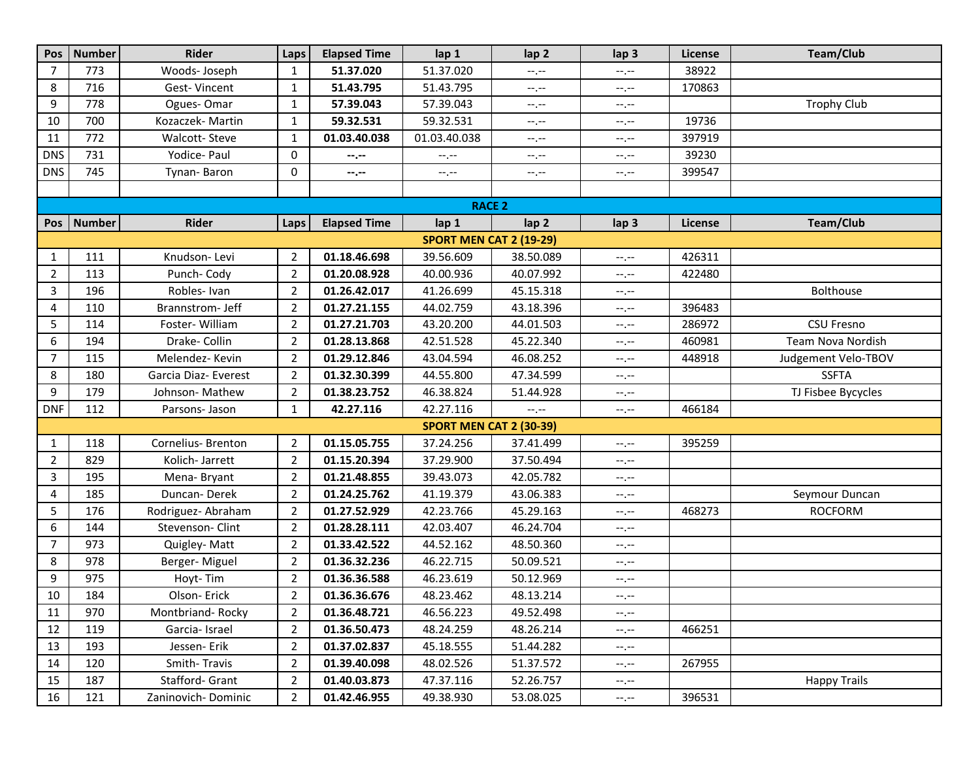| Pos            | Number                  | Rider                | Laps           | <b>Elapsed Time</b> | lap 1                          | lap <sub>2</sub>              | lap <sub>3</sub>                | License | Team/Club           |  |  |  |
|----------------|-------------------------|----------------------|----------------|---------------------|--------------------------------|-------------------------------|---------------------------------|---------|---------------------|--|--|--|
| $\overline{7}$ | 773                     | Woods- Joseph        | 1              | 51.37.020           | 51.37.020                      | --.--                         | $--, --$                        | 38922   |                     |  |  |  |
| 8              | 716                     | Gest-Vincent         | $\mathbf{1}$   | 51.43.795           | 51.43.795                      | $-1, -1$                      | $-1, -1$                        | 170863  |                     |  |  |  |
| 9              | 778                     | Ogues-Omar           | $\mathbf{1}$   | 57.39.043           | 57.39.043                      | $-1$                          | $-$ , $-$                       |         | <b>Trophy Club</b>  |  |  |  |
| 10             | 700                     | Kozaczek- Martin     | $\mathbf{1}$   | 59.32.531           | 59.32.531                      | --,--                         | $-1, -1$                        | 19736   |                     |  |  |  |
| 11             | 772                     | <b>Walcott-Steve</b> | $\mathbf{1}$   | 01.03.40.038        | 01.03.40.038                   | --,--                         | $--, --$                        | 397919  |                     |  |  |  |
| <b>DNS</b>     | 731                     | Yodice- Paul         | 0              | --.--               | --.--                          | $\rightarrow$ , $\rightarrow$ | $\mathbb{H}^2$ , $\mathbb{H}^2$ | 39230   |                     |  |  |  |
| <b>DNS</b>     | 745                     | Tynan-Baron          | 0              | $-1$ , $-1$         | --.--                          | $-1, -1$                      | $-1, -1$                        | 399547  |                     |  |  |  |
|                |                         |                      |                |                     |                                |                               |                                 |         |                     |  |  |  |
|                | <b>RACE 2</b>           |                      |                |                     |                                |                               |                                 |         |                     |  |  |  |
|                | Pos   Number            | Rider                | Laps           | <b>Elapsed Time</b> | lap 1                          | lap <sub>2</sub>              | lap <sub>3</sub>                | License | Team/Club           |  |  |  |
|                | SPORT MEN CAT 2 (19-29) |                      |                |                     |                                |                               |                                 |         |                     |  |  |  |
| 1              | 111                     | Knudson-Levi         | $\overline{2}$ | 01.18.46.698        | 39.56.609                      | 38.50.089                     | $\rightarrow$ , $\rightarrow$   | 426311  |                     |  |  |  |
| $\overline{2}$ | 113                     | Punch-Cody           | 2              | 01.20.08.928        | 40.00.936                      | 40.07.992                     | $-1, -1$                        | 422480  |                     |  |  |  |
| 3              | 196                     | Robles-Ivan          | $\overline{2}$ | 01.26.42.017        | 41.26.699                      | 45.15.318                     | $-1, -1$                        |         | Bolthouse           |  |  |  |
| 4              | 110                     | Brannstrom- Jeff     | 2              | 01.27.21.155        | 44.02.759                      | 43.18.396                     | $-1, -1$                        | 396483  |                     |  |  |  |
| 5              | 114                     | Foster-William       | 2              | 01.27.21.703        | 43.20.200                      | 44.01.503                     | $--, --$                        | 286972  | <b>CSU Fresno</b>   |  |  |  |
| 6              | 194                     | Drake- Collin        | 2              | 01.28.13.868        | 42.51.528                      | 45.22.340                     | $-1, -1$                        | 460981  | Team Nova Nordish   |  |  |  |
| $\overline{7}$ | 115                     | Melendez-Kevin       | $\overline{2}$ | 01.29.12.846        | 43.04.594                      | 46.08.252                     | $-1, -1$                        | 448918  | Judgement Velo-TBOV |  |  |  |
| 8              | 180                     | Garcia Diaz- Everest | $\overline{2}$ | 01.32.30.399        | 44.55.800                      | 47.34.599                     | $-1, -1$                        |         | <b>SSFTA</b>        |  |  |  |
| 9              | 179                     | Johnson- Mathew      | 2              | 01.38.23.752        | 46.38.824                      | 51.44.928                     | $\mathbb{H}^2$ , $\mathbb{H}^2$ |         | TJ Fisbee Bycycles  |  |  |  |
| <b>DNF</b>     | 112                     | Parsons- Jason       | 1              | 42.27.116           | 42.27.116                      | $-$ , $-$                     | $--, --$                        | 466184  |                     |  |  |  |
|                |                         |                      |                |                     | <b>SPORT MEN CAT 2 (30-39)</b> |                               |                                 |         |                     |  |  |  |
| 1              | 118                     | Cornelius- Brenton   | $\overline{2}$ | 01.15.05.755        | 37.24.256                      | 37.41.499                     | $-1, -1$                        | 395259  |                     |  |  |  |
| $\overline{2}$ | 829                     | Kolich-Jarrett       | $\overline{2}$ | 01.15.20.394        | 37.29.900                      | 37.50.494                     | $-1, -1$                        |         |                     |  |  |  |
| 3              | 195                     | Mena-Bryant          | $\overline{2}$ | 01.21.48.855        | 39.43.073                      | 42.05.782                     | $-1, -1$                        |         |                     |  |  |  |
| 4              | 185                     | Duncan-Derek         | $\overline{2}$ | 01.24.25.762        | 41.19.379                      | 43.06.383                     | $-1, -1$                        |         | Seymour Duncan      |  |  |  |
| 5              | 176                     | Rodriguez- Abraham   | $\overline{2}$ | 01.27.52.929        | 42.23.766                      | 45.29.163                     | $-1, -1$                        | 468273  | <b>ROCFORM</b>      |  |  |  |
| 6              | 144                     | Stevenson- Clint     | $\overline{2}$ | 01.28.28.111        | 42.03.407                      | 46.24.704                     | $-1, -1$                        |         |                     |  |  |  |
| $\overline{7}$ | 973                     | Quigley-Matt         | $\overline{2}$ | 01.33.42.522        | 44.52.162                      | 48.50.360                     | $-1, -1$                        |         |                     |  |  |  |
| 8              | 978                     | Berger-Miguel        | $\overline{2}$ | 01.36.32.236        | 46.22.715                      | 50.09.521                     | $-1, -1$                        |         |                     |  |  |  |
| 9              | 975                     | Hoyt-Tim             | $\overline{2}$ | 01.36.36.588        | 46.23.619                      | 50.12.969                     | $-1, -1$                        |         |                     |  |  |  |
| 10             | 184                     | Olson-Erick          | $\overline{2}$ | 01.36.36.676        | 48.23.462                      | 48.13.214                     | $-1 - 1 - 1 = 0$                |         |                     |  |  |  |
| 11             | 970                     | Montbriand-Rocky     | $\overline{2}$ | 01.36.48.721        | 46.56.223                      | 49.52.498                     | $-1, -1$                        |         |                     |  |  |  |
| 12             | 119                     | Garcia-Israel        | $\overline{2}$ | 01.36.50.473        | 48.24.259                      | 48.26.214                     | $-1, -1$                        | 466251  |                     |  |  |  |
| 13             | 193                     | Jessen-Erik          | $\overline{2}$ | 01.37.02.837        | 45.18.555                      | 51.44.282                     | $-1, -1$                        |         |                     |  |  |  |
| 14             | 120                     | Smith-Travis         | $\overline{2}$ | 01.39.40.098        | 48.02.526                      | 51.37.572                     | $-1, -1$                        | 267955  |                     |  |  |  |
| 15             | 187                     | Stafford- Grant      | $\overline{2}$ | 01.40.03.873        | 47.37.116                      | 52.26.757                     | $-1, -1$                        |         | <b>Happy Trails</b> |  |  |  |
| 16             | 121                     | Zaninovich-Dominic   | $\overline{2}$ | 01.42.46.955        | 49.38.930                      | 53.08.025                     | $-1.77$                         | 396531  |                     |  |  |  |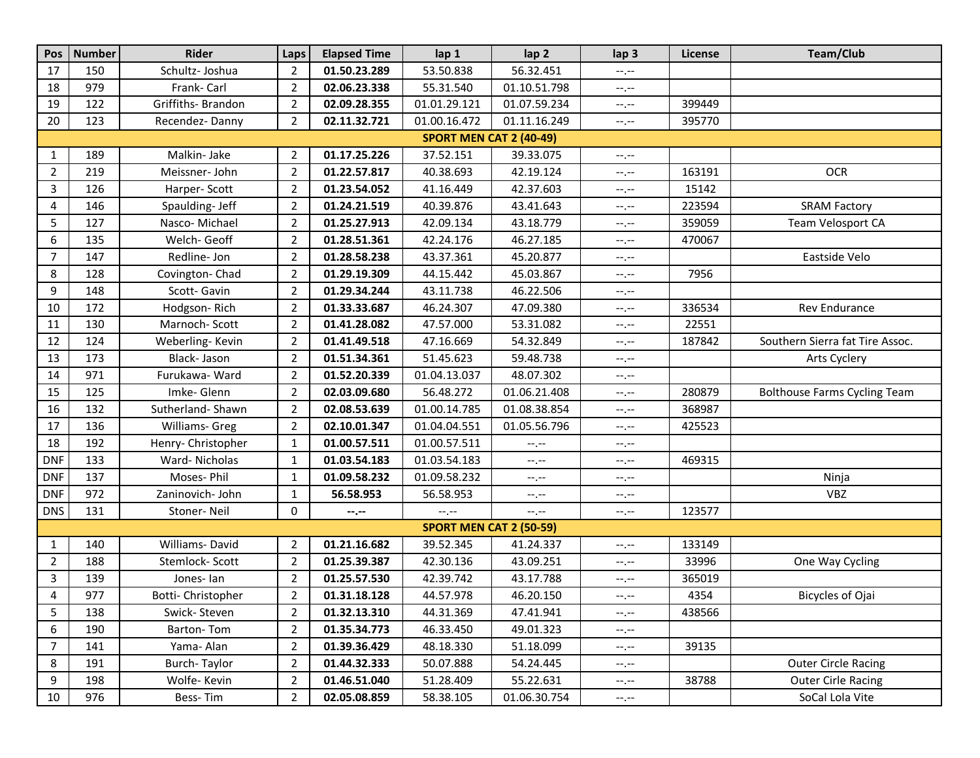| Pos            | <b>Number</b>           | <b>Rider</b>        | Laps           | <b>Elapsed Time</b> | lap 1                          | lap <sub>2</sub> | lap <sub>3</sub>              | License | Team/Club                           |  |  |  |  |
|----------------|-------------------------|---------------------|----------------|---------------------|--------------------------------|------------------|-------------------------------|---------|-------------------------------------|--|--|--|--|
| 17             | 150                     | Schultz- Joshua     | $\overline{2}$ | 01.50.23.289        | 53.50.838                      | 56.32.451        | $-1, -1$                      |         |                                     |  |  |  |  |
| 18             | 979                     | Frank- Carl         | $\overline{2}$ | 02.06.23.338        | 55.31.540                      | 01.10.51.798     | $-1, -1$                      |         |                                     |  |  |  |  |
| 19             | 122                     | Griffiths- Brandon  | $\overline{2}$ | 02.09.28.355        | 01.01.29.121                   | 01.07.59.234     | $-\mathbb{L}$ , $-\mathbb{L}$ | 399449  |                                     |  |  |  |  |
| 20             | 123                     | Recendez-Danny      | $\overline{2}$ | 02.11.32.721        | 01.00.16.472                   | 01.11.16.249     | $-1, -1$                      | 395770  |                                     |  |  |  |  |
|                | SPORT MEN CAT 2 (40-49) |                     |                |                     |                                |                  |                               |         |                                     |  |  |  |  |
| 1              | 189                     | Malkin- Jake        | $\overline{2}$ | 01.17.25.226        | 37.52.151                      | 39.33.075        | --.--                         |         |                                     |  |  |  |  |
| $\overline{2}$ | 219                     | Meissner-John       | $\overline{2}$ | 01.22.57.817        | 40.38.693                      | 42.19.124        | $-1, -1$                      | 163191  | <b>OCR</b>                          |  |  |  |  |
| 3              | 126                     | Harper-Scott        | $\overline{2}$ | 01.23.54.052        | 41.16.449                      | 42.37.603        | --.--                         | 15142   |                                     |  |  |  |  |
| 4              | 146                     | Spaulding- Jeff     | $\overline{2}$ | 01.24.21.519        | 40.39.876                      | 43.41.643        | $-1, -1$                      | 223594  | <b>SRAM Factory</b>                 |  |  |  |  |
| 5              | 127                     | Nasco-Michael       | $\overline{2}$ | 01.25.27.913        | 42.09.134                      | 43.18.779        | $-1, -1$                      | 359059  | Team Velosport CA                   |  |  |  |  |
| 6              | 135                     | Welch- Geoff        | $\overline{2}$ | 01.28.51.361        | 42.24.176                      | 46.27.185        | $-1, -1$                      | 470067  |                                     |  |  |  |  |
| $\overline{7}$ | 147                     | Redline- Jon        | $\overline{2}$ | 01.28.58.238        | 43.37.361                      | 45.20.877        | $-1, -1$                      |         | Eastside Velo                       |  |  |  |  |
| 8              | 128                     | Covington-Chad      | $\overline{2}$ | 01.29.19.309        | 44.15.442                      | 45.03.867        | $-1, -1$                      | 7956    |                                     |  |  |  |  |
| 9              | 148                     | Scott-Gavin         | $\overline{2}$ | 01.29.34.244        | 43.11.738                      | 46.22.506        | $\leftarrow$ , $\leftarrow$   |         |                                     |  |  |  |  |
| 10             | 172                     | Hodgson-Rich        | $\overline{2}$ | 01.33.33.687        | 46.24.307                      | 47.09.380        | --.--                         | 336534  | Rev Endurance                       |  |  |  |  |
| 11             | 130                     | Marnoch-Scott       | $\overline{2}$ | 01.41.28.082        | 47.57.000                      | 53.31.082        | $-1, -1$                      | 22551   |                                     |  |  |  |  |
| 12             | 124                     | Weberling-Kevin     | $\overline{2}$ | 01.41.49.518        | 47.16.669                      | 54.32.849        | $-1, -1$                      | 187842  | Southern Sierra fat Tire Assoc.     |  |  |  |  |
| 13             | 173                     | Black-Jason         | $\overline{2}$ | 01.51.34.361        | 51.45.623                      | 59.48.738        | $-1, -1$                      |         | Arts Cyclery                        |  |  |  |  |
| 14             | 971                     | Furukawa-Ward       | $\overline{2}$ | 01.52.20.339        | 01.04.13.037                   | 48.07.302        | $-1, -1$                      |         |                                     |  |  |  |  |
| 15             | 125                     | Imke-Glenn          | $\overline{2}$ | 02.03.09.680        | 56.48.272                      | 01.06.21.408     | $-1, -1$                      | 280879  | <b>Bolthouse Farms Cycling Team</b> |  |  |  |  |
| 16             | 132                     | Sutherland-Shawn    | $\overline{2}$ | 02.08.53.639        | 01.00.14.785                   | 01.08.38.854     | $-1, -1$                      | 368987  |                                     |  |  |  |  |
| 17             | 136                     | Williams- Greg      | $\overline{2}$ | 02.10.01.347        | 01.04.04.551                   | 01.05.56.796     | $-1, -1$                      | 425523  |                                     |  |  |  |  |
| 18             | 192                     | Henry- Christopher  | $\mathbf{1}$   | 01.00.57.511        | 01.00.57.511                   | --.--            | $-1, -1$                      |         |                                     |  |  |  |  |
| <b>DNF</b>     | 133                     | Ward-Nicholas       | $\mathbf{1}$   | 01.03.54.183        | 01.03.54.183                   | $-1, -1$         | $--, --$                      | 469315  |                                     |  |  |  |  |
| <b>DNF</b>     | 137                     | Moses-Phil          | 1              | 01.09.58.232        | 01.09.58.232                   | $-1, -1$         | $-1, -1$                      |         | Ninja                               |  |  |  |  |
| <b>DNF</b>     | 972                     | Zaninovich- John    | $\mathbf{1}$   | 56.58.953           | 56.58.953                      | $-1, -1$         | $-1, -1$                      |         | <b>VBZ</b>                          |  |  |  |  |
| <b>DNS</b>     | 131                     | Stoner-Neil         | 0              | --.--               | --.--                          | $-1, -1$         | $-1, -1$                      | 123577  |                                     |  |  |  |  |
|                |                         |                     |                |                     | <b>SPORT MEN CAT 2 (50-59)</b> |                  |                               |         |                                     |  |  |  |  |
| 1              | 140                     | Williams-David      | $\overline{2}$ | 01.21.16.682        | 39.52.345                      | 41.24.337        | $-1, -1$                      | 133149  |                                     |  |  |  |  |
| $\overline{2}$ | 188                     | Stemlock-Scott      | $\overline{2}$ | 01.25.39.387        | 42.30.136                      | 43.09.251        | $-1, -1$                      | 33996   | One Way Cycling                     |  |  |  |  |
| 3              | 139                     | Jones-lan           | 2              | 01.25.57.530        | 42.39.742                      | 43.17.788        | $-1, -1$                      | 365019  |                                     |  |  |  |  |
| 4              | 977                     | Botti- Christopher  | $\overline{2}$ | 01.31.18.128        | 44.57.978                      | 46.20.150        | $-1.1$                        | 4354    | Bicycles of Ojai                    |  |  |  |  |
| 5              | 138                     | Swick-Steven        | $\overline{2}$ | 01.32.13.310        | 44.31.369                      | 47.41.941        | $-1, -1$                      | 438566  |                                     |  |  |  |  |
| 6              | 190                     | Barton-Tom          | $\overline{2}$ | 01.35.34.773        | 46.33.450                      | 49.01.323        | $-1, -1$                      |         |                                     |  |  |  |  |
| 7              | 141                     | Yama- Alan          | $\overline{2}$ | 01.39.36.429        | 48.18.330                      | 51.18.099        | $\rightarrow$ , $\rightarrow$ | 39135   |                                     |  |  |  |  |
| 8              | 191                     | <b>Burch-Taylor</b> | $\overline{2}$ | 01.44.32.333        | 50.07.888                      | 54.24.445        | $-1, -1$                      |         | <b>Outer Circle Racing</b>          |  |  |  |  |
| 9              | 198                     | Wolfe-Kevin         | $\overline{2}$ | 01.46.51.040        | 51.28.409                      | 55.22.631        | $\rightarrow$ , $\rightarrow$ | 38788   | <b>Outer Cirle Racing</b>           |  |  |  |  |
| 10             | 976                     | Bess-Tim            | $\overline{2}$ | 02.05.08.859        | 58.38.105                      | 01.06.30.754     | $-1, -1$                      |         | SoCal Lola Vite                     |  |  |  |  |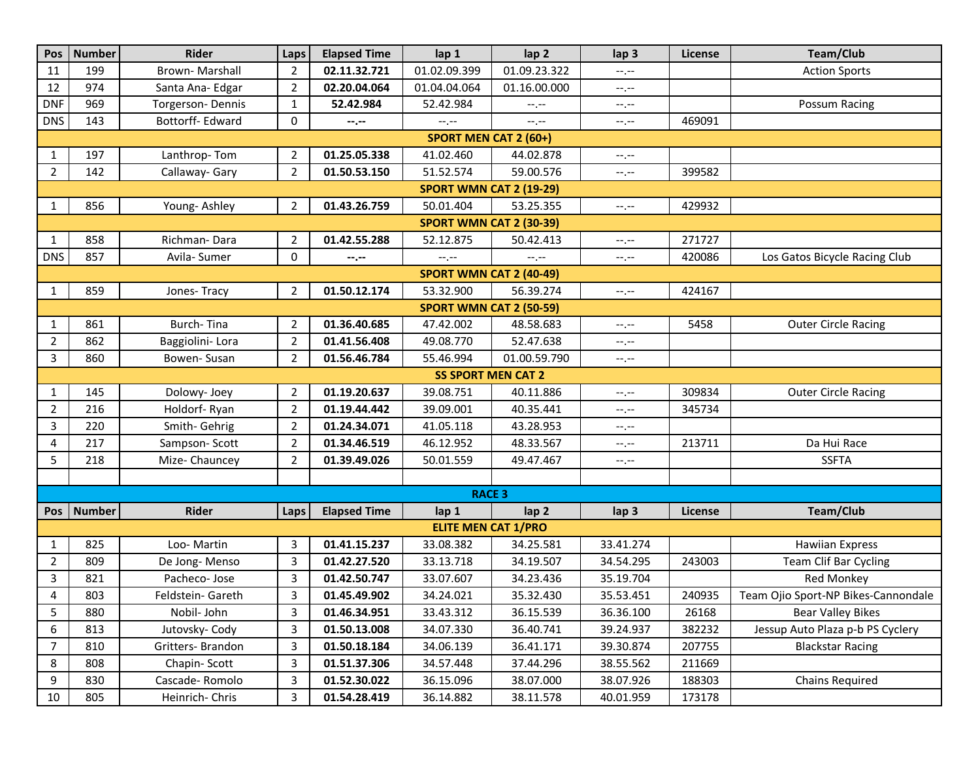| Pos                            | <b>Number</b> | Rider             | Laps           | <b>Elapsed Time</b> | lap 1                          | lap <sub>2</sub> | lap <sub>3</sub> | <b>License</b> | Team/Club                           |  |  |
|--------------------------------|---------------|-------------------|----------------|---------------------|--------------------------------|------------------|------------------|----------------|-------------------------------------|--|--|
| 11                             | 199           | Brown-Marshall    | $\overline{2}$ | 02.11.32.721        | 01.02.09.399                   | 01.09.23.322     | --.--            |                | <b>Action Sports</b>                |  |  |
| 12                             | 974           | Santa Ana- Edgar  | $\overline{2}$ | 02.20.04.064        | 01.04.04.064                   | 01.16.00.000     | $-1, -1$         |                |                                     |  |  |
| <b>DNF</b>                     | 969           | Torgerson-Dennis  | $\mathbf{1}$   | 52.42.984           | 52.42.984                      | $-1, -1$         | $-1, -1$         |                | Possum Racing                       |  |  |
| <b>DNS</b>                     | 143           | Bottorff- Edward  | 0              | --.--               | $--, --$                       | $-1, -1$         | $-1, -1$         | 469091         |                                     |  |  |
| <b>SPORT MEN CAT 2 (60+)</b>   |               |                   |                |                     |                                |                  |                  |                |                                     |  |  |
| 1                              | 197           | Lanthrop-Tom      | $\overline{2}$ | 01.25.05.338        | 41.02.460                      | 44.02.878        | $--, --$         |                |                                     |  |  |
| $\overline{2}$                 | 142           | Callaway- Gary    | $\overline{2}$ | 01.50.53.150        | 51.52.574                      | 59.00.576        | $-1, -1$         | 399582         |                                     |  |  |
| <b>SPORT WMN CAT 2 (19-29)</b> |               |                   |                |                     |                                |                  |                  |                |                                     |  |  |
| 1                              | 856           | Young-Ashley      | $\overline{2}$ | 01.43.26.759        | 50.01.404                      | 53.25.355        | $-1, -1$         | 429932         |                                     |  |  |
| <b>SPORT WMN CAT 2 (30-39)</b> |               |                   |                |                     |                                |                  |                  |                |                                     |  |  |
| 1                              | 858           | Richman-Dara      | $\overline{2}$ | 01.42.55.288        | 52.12.875                      | 50.42.413        | $--, --$         | 271727         |                                     |  |  |
| <b>DNS</b>                     | 857           | Avila- Sumer      | 0              | --.--               | $-1, -1$                       | --.--            | $-1, -1$         | 420086         | Los Gatos Bicycle Racing Club       |  |  |
|                                |               |                   |                |                     | SPORT WMN CAT 2 (40-49)        |                  |                  |                |                                     |  |  |
| 1                              | 859           | Jones-Tracy       | $\overline{2}$ | 01.50.12.174        | 53.32.900                      | 56.39.274        | $-1, -1$         | 424167         |                                     |  |  |
|                                |               |                   |                |                     | <b>SPORT WMN CAT 2 (50-59)</b> |                  |                  |                |                                     |  |  |
| 1                              | 861           | Burch-Tina        | $\overline{2}$ | 01.36.40.685        | 47.42.002                      | 48.58.683        | $--, --$         | 5458           | <b>Outer Circle Racing</b>          |  |  |
| $\overline{2}$                 | 862           | Baggiolini-Lora   | 2              | 01.41.56.408        | 49.08.770                      | 52.47.638        | $-1, -1$         |                |                                     |  |  |
| 3                              | 860           | Bowen-Susan       | $\overline{2}$ | 01.56.46.784        | 55.46.994                      | 01.00.59.790     | $--, --$         |                |                                     |  |  |
| <b>SS SPORT MEN CAT 2</b>      |               |                   |                |                     |                                |                  |                  |                |                                     |  |  |
| 1                              | 145           | Dolowy- Joey      | $\overline{2}$ | 01.19.20.637        | 39.08.751                      | 40.11.886        | $-1, -1$         | 309834         | <b>Outer Circle Racing</b>          |  |  |
| $\overline{2}$                 | 216           | Holdorf-Ryan      | $\overline{2}$ | 01.19.44.442        | 39.09.001                      | 40.35.441        | $--, --$         | 345734         |                                     |  |  |
| 3                              | 220           | Smith-Gehrig      | $\overline{2}$ | 01.24.34.071        | 41.05.118                      | 43.28.953        | $-1, -1$         |                |                                     |  |  |
| 4                              | 217           | Sampson-Scott     | $\overline{2}$ | 01.34.46.519        | 46.12.952                      | 48.33.567        | $-1, -1$         | 213711         | Da Hui Race                         |  |  |
| 5                              | 218           | Mize-Chauncey     | 2              | 01.39.49.026        | 50.01.559                      | 49.47.467        | $-1, -1$         |                | <b>SSFTA</b>                        |  |  |
|                                |               |                   |                |                     |                                |                  |                  |                |                                     |  |  |
|                                |               |                   |                |                     | <b>RACE 3</b>                  |                  |                  |                |                                     |  |  |
|                                | Pos   Number  | Rider             | Laps           | <b>Elapsed Time</b> | lap <sub>1</sub>               | lap <sub>2</sub> | lap <sub>3</sub> | License        | Team/Club                           |  |  |
|                                |               |                   |                |                     | <b>ELITE MEN CAT 1/PRO</b>     |                  |                  |                |                                     |  |  |
| 1                              | 825           | Loo-Martin        | 3              | 01.41.15.237        | 33.08.382                      | 34.25.581        | 33.41.274        |                | <b>Hawiian Express</b>              |  |  |
| $\overline{2}$                 | 809           | De Jong-Menso     | 3              | 01.42.27.520        | 33.13.718                      | 34.19.507        | 34.54.295        | 243003         | Team Clif Bar Cycling               |  |  |
| 3                              | 821           | Pacheco-Jose      | 3              | 01.42.50.747        | 33.07.607                      | 34.23.436        | 35.19.704        |                | Red Monkey                          |  |  |
| 4                              | 803           | Feldstein- Gareth | 3              | 01.45.49.902        | 34.24.021                      | 35.32.430        | 35.53.451        | 240935         | Team Ojio Sport-NP Bikes-Cannondale |  |  |
| 5                              | 880           | Nobil- John       | 3              | 01.46.34.951        | 33.43.312                      | 36.15.539        | 36.36.100        | 26168          | <b>Bear Valley Bikes</b>            |  |  |
| 6                              | 813           | Jutovsky- Cody    | 3              | 01.50.13.008        | 34.07.330                      | 36.40.741        | 39.24.937        | 382232         | Jessup Auto Plaza p-b PS Cyclery    |  |  |
| 7                              | 810           | Gritters- Brandon | 3              | 01.50.18.184        | 34.06.139                      | 36.41.171        | 39.30.874        | 207755         | <b>Blackstar Racing</b>             |  |  |
| 8                              | 808           | Chapin-Scott      | 3              | 01.51.37.306        | 34.57.448                      | 37.44.296        | 38.55.562        | 211669         |                                     |  |  |
| 9                              | 830           | Cascade-Romolo    | 3              | 01.52.30.022        | 36.15.096                      | 38.07.000        | 38.07.926        | 188303         | Chains Required                     |  |  |
| 10                             | 805           | Heinrich- Chris   | 3              | 01.54.28.419        | 36.14.882                      | 38.11.578        | 40.01.959        | 173178         |                                     |  |  |